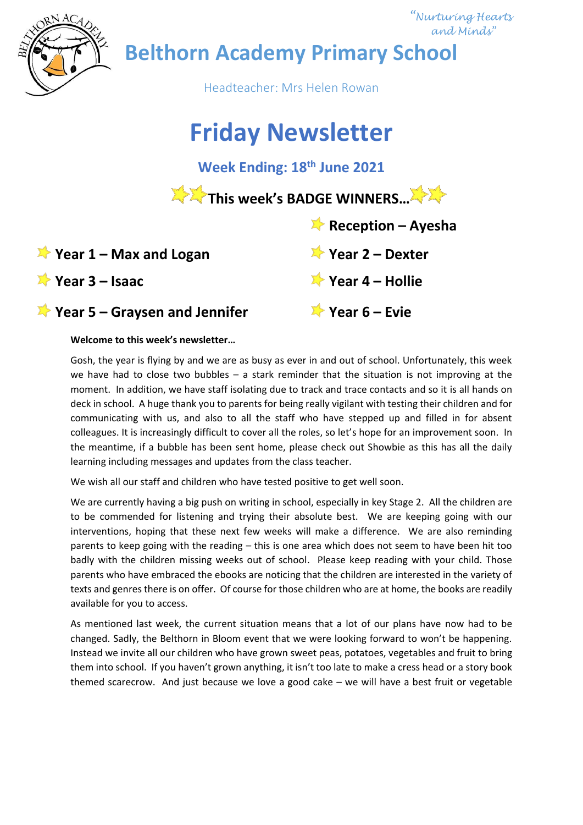

 *"Nurturing Hearts and Minds"*

**Belthorn Academy Primary School**

Headteacher: Mrs Helen Rowan

# **Friday Newsletter**

**Week Ending: 18th June 2021**

This week's BADGE WINNERS...<sup>....</sup>

 **Reception – Ayesha**

# **Year 1 – Max and Logan Year 2 – Dexter**

**Year 3 – Isaac Year 4 – Hollie**

**Year 5 – Graysen and Jennifer Year 6 – Evie**

### **Welcome to this week's newsletter…**

Gosh, the year is flying by and we are as busy as ever in and out of school. Unfortunately, this week we have had to close two bubbles – a stark reminder that the situation is not improving at the moment. In addition, we have staff isolating due to track and trace contacts and so it is all hands on deck in school. A huge thank you to parents for being really vigilant with testing their children and for communicating with us, and also to all the staff who have stepped up and filled in for absent colleagues. It is increasingly difficult to cover all the roles, so let's hope for an improvement soon. In the meantime, if a bubble has been sent home, please check out Showbie as this has all the daily learning including messages and updates from the class teacher.

We wish all our staff and children who have tested positive to get well soon.

We are currently having a big push on writing in school, especially in key Stage 2. All the children are to be commended for listening and trying their absolute best. We are keeping going with our interventions, hoping that these next few weeks will make a difference. We are also reminding parents to keep going with the reading – this is one area which does not seem to have been hit too badly with the children missing weeks out of school. Please keep reading with your child. Those parents who have embraced the ebooks are noticing that the children are interested in the variety of texts and genres there is on offer. Of course for those children who are at home, the books are readily available for you to access.

As mentioned last week, the current situation means that a lot of our plans have now had to be changed. Sadly, the Belthorn in Bloom event that we were looking forward to won't be happening. Instead we invite all our children who have grown sweet peas, potatoes, vegetables and fruit to bring them into school. If you haven't grown anything, it isn't too late to make a cress head or a story book themed scarecrow. And just because we love a good cake – we will have a best fruit or vegetable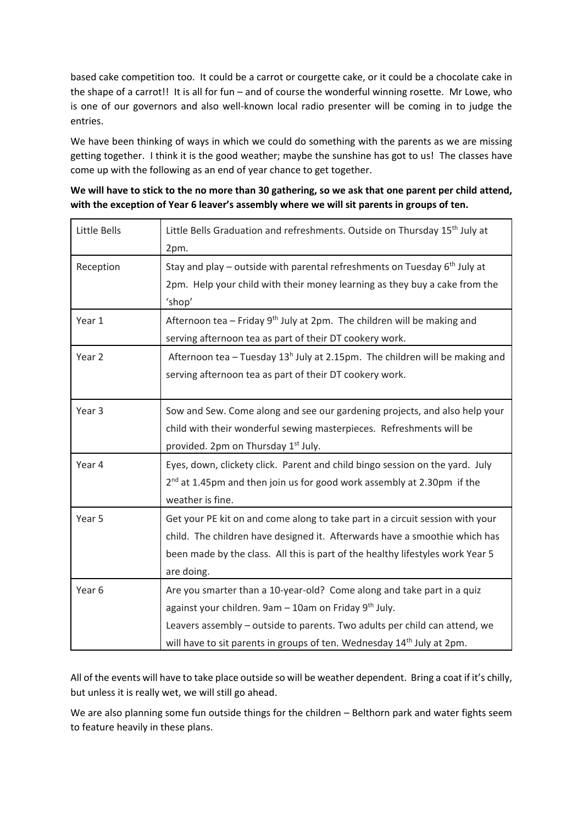based cake competition too. It could be a carrot or courgette cake, or it could be a chocolate cake in the shape of a carrot!! It is all for fun – and of course the wonderful winning rosette. Mr Lowe, who is one of our governors and also well-known local radio presenter will be coming in to judge the entries.

We have been thinking of ways in which we could do something with the parents as we are missing getting together. I think it is the good weather; maybe the sunshine has got to us! The classes have come up with the following as an end of year chance to get together.

**We will have to stick to the no more than 30 gathering, so we ask that one parent per child attend, with the exception of Year 6 leaver's assembly where we will sit parents in groups of ten.**

| Little Bells      | Little Bells Graduation and refreshments. Outside on Thursday 15 <sup>th</sup> July at |
|-------------------|----------------------------------------------------------------------------------------|
|                   | 2pm.                                                                                   |
| Reception         | Stay and play - outside with parental refreshments on Tuesday 6 <sup>th</sup> July at  |
|                   | 2pm. Help your child with their money learning as they buy a cake from the             |
|                   | 'shop'                                                                                 |
| Year 1            | Afternoon tea - Friday 9 <sup>th</sup> July at 2pm. The children will be making and    |
|                   | serving afternoon tea as part of their DT cookery work.                                |
| Year 2            | Afternoon tea - Tuesday $13h$ July at 2.15pm. The children will be making and          |
|                   | serving afternoon tea as part of their DT cookery work.                                |
|                   |                                                                                        |
| Year 3            | Sow and Sew. Come along and see our gardening projects, and also help your             |
|                   | child with their wonderful sewing masterpieces. Refreshments will be                   |
|                   | provided. 2pm on Thursday 1 <sup>st</sup> July.                                        |
| Year 4            | Eyes, down, clickety click. Parent and child bingo session on the yard. July           |
|                   | 2 <sup>nd</sup> at 1.45pm and then join us for good work assembly at 2.30pm if the     |
|                   | weather is fine.                                                                       |
| Year 5            | Get your PE kit on and come along to take part in a circuit session with your          |
|                   | child. The children have designed it. Afterwards have a smoothie which has             |
|                   | been made by the class. All this is part of the healthy lifestyles work Year 5         |
|                   | are doing.                                                                             |
| Year <sub>6</sub> | Are you smarter than a 10-year-old? Come along and take part in a quiz                 |
|                   | against your children. 9am - 10am on Friday 9 <sup>th</sup> July.                      |
|                   | Leavers assembly - outside to parents. Two adults per child can attend, we             |
|                   | will have to sit parents in groups of ten. Wednesday 14 <sup>th</sup> July at 2pm.     |

All of the events will have to take place outside so will be weather dependent. Bring a coat if it's chilly, but unless it is really wet, we will still go ahead.

We are also planning some fun outside things for the children – Belthorn park and water fights seem to feature heavily in these plans.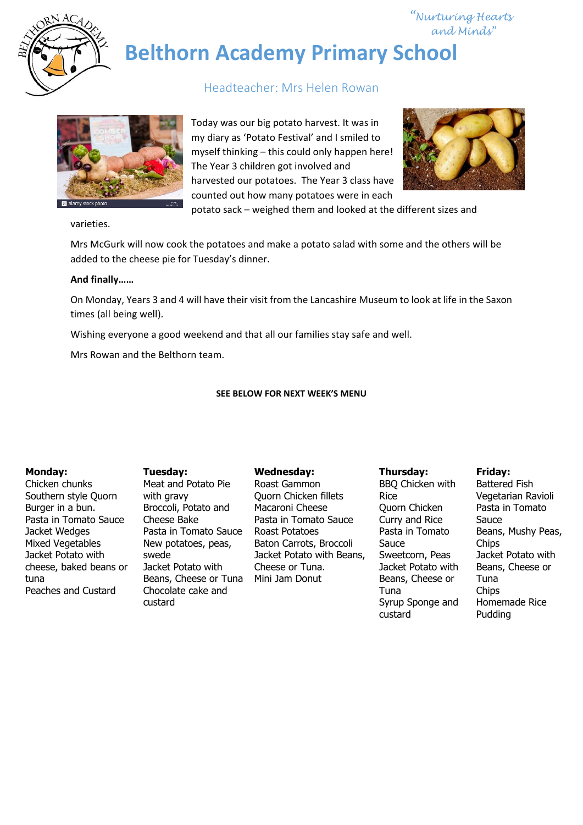

 *"Nurturing Hearts and Minds"*

**Belthorn Academy Primary School**

## Headteacher: Mrs Helen Rowan



Today was our big potato harvest. It was in my diary as 'Potato Festival' and I smiled to myself thinking – this could only happen here! The Year 3 children got involved and harvested our potatoes. The Year 3 class have counted out how many potatoes were in each



potato sack – weighed them and looked at the different sizes and

varieties.

Mrs McGurk will now cook the potatoes and make a potato salad with some and the others will be added to the cheese pie for Tuesday's dinner.

#### **And finally……**

On Monday, Years 3 and 4 will have their visit from the Lancashire Museum to look at life in the Saxon times (all being well).

Wishing everyone a good weekend and that all our families stay safe and well.

Mrs Rowan and the Belthorn team.

#### **SEE BELOW FOR NEXT WEEK'S MENU**

#### **Monday:**

Chicken chunks Southern style Quorn Burger in a bun. Pasta in Tomato Sauce Jacket Wedges Mixed Vegetables Jacket Potato with cheese, baked beans or tuna Peaches and Custard

**Tuesday:** Meat and Potato Pie with gravy Broccoli, Potato and Cheese Bake Pasta in Tomato Sauce New potatoes, peas, swede Jacket Potato with Beans, Cheese or Tuna Chocolate cake and custard

#### **Wednesday:**

Roast Gammon Quorn Chicken fillets Macaroni Cheese Pasta in Tomato Sauce Roast Potatoes Baton Carrots, Broccoli Jacket Potato with Beans, Cheese or Tuna. Mini Jam Donut

#### **Thursday:** BBQ Chicken with Rice Quorn Chicken Curry and Rice Pasta in Tomato Sauce Sweetcorn, Peas Jacket Potato with Beans, Cheese or Tuna Syrup Sponge and custard

#### **Friday:**

Battered Fish Vegetarian Ravioli Pasta in Tomato Sauce Beans, Mushy Peas, **Chips** Jacket Potato with Beans, Cheese or Tuna Chips Homemade Rice Pudding